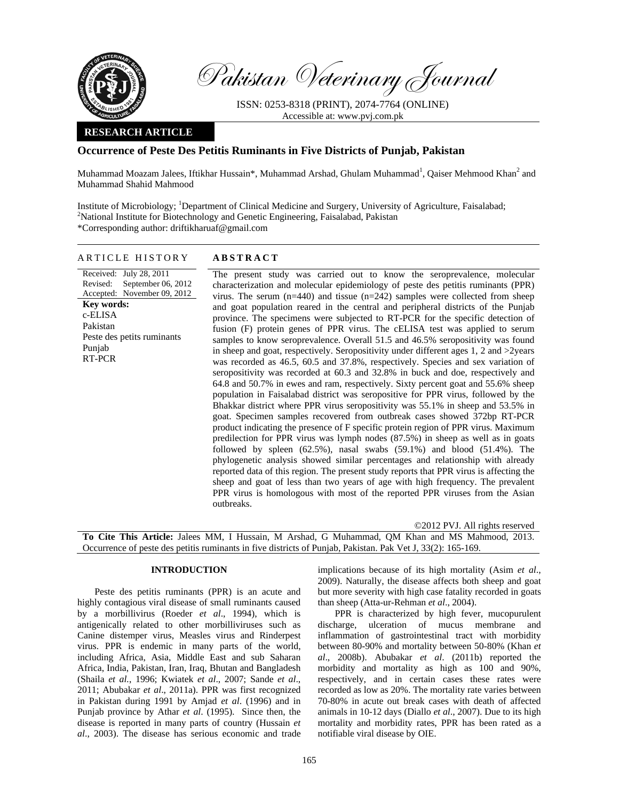

Pakistan Veterinary Journal

ISSN: 0253-8318 (PRINT), 2074-7764 (ONLINE) Accessible at: www.pvj.com.pk

# **RESEARCH ARTICLE**

# **Occurrence of Peste Des Petitis Ruminants in Five Districts of Punjab, Pakistan**

Muhammad Moazam Jalees, Iftikhar Hussain\*, Muhammad Arshad, Ghulam Muhammad<sup>1</sup>, Qaiser Mehmood Khan<sup>2</sup> and Muhammad Shahid Mahmood

Institute of Microbiology; <sup>1</sup>Department of Clinical Medicine and Surgery, University of Agriculture, Faisalabad;<br><sup>2</sup>Netional Institute for Biotechnology and Ganatic Engineering, Faisalabad, Pekistan <sup>2</sup>National Institute for Biotechnology and Genetic Engineering, Faisalabad, Pakistan \*Corresponding author: driftikharuaf@gmail.com

# ARTICLE HISTORY **ABSTRACT**

Received: July 28, 2011 Revised: Accepted: November 09, 2012 September 06, 2012 **Key words:**  c-ELISA Pakistan Peste des petits ruminants Punjab RT-PCR

 The present study was carried out to know the seroprevalence, molecular characterization and molecular epidemiology of peste des petitis ruminants (PPR) virus. The serum  $(n=440)$  and tissue  $(n=242)$  samples were collected from sheep and goat population reared in the central and peripheral districts of the Punjab province. The specimens were subjected to RT-PCR for the specific detection of fusion (F) protein genes of PPR virus. The cELISA test was applied to serum samples to know seroprevalence. Overall 51.5 and 46.5% seropositivity was found in sheep and goat, respectively. Seropositivity under different ages 1, 2 and >2years was recorded as 46.5, 60.5 and 37.8%, respectively. Species and sex variation of seropositivity was recorded at 60.3 and 32.8% in buck and doe, respectively and 64.8 and 50.7% in ewes and ram, respectively. Sixty percent goat and 55.6% sheep population in Faisalabad district was seropositive for PPR virus, followed by the Bhakkar district where PPR virus seropositivity was 55.1% in sheep and 53.5% in goat. Specimen samples recovered from outbreak cases showed 372bp RT-PCR product indicating the presence of F specific protein region of PPR virus. Maximum predilection for PPR virus was lymph nodes (87.5%) in sheep as well as in goats followed by spleen (62.5%), nasal swabs (59.1%) and blood (51.4%). The phylogenetic analysis showed similar percentages and relationship with already reported data of this region. The present study reports that PPR virus is affecting the sheep and goat of less than two years of age with high frequency. The prevalent PPR virus is homologous with most of the reported PPR viruses from the Asian outbreaks.

©2012 PVJ. All rights reserved **To Cite This Article:** Jalees MM, I Hussain, M Arshad, G Muhammad, QM Khan and MS Mahmood, 2013. Occurrence of peste des petitis ruminants in five districts of Punjab, Pakistan. Pak Vet J, 33(2): 165-169.

## **INTRODUCTION**

Peste des petitis ruminants (PPR) is an acute and highly contagious viral disease of small ruminants caused by a morbillivirus (Roeder *et al*., 1994), which is antigenically related to other morbilliviruses such as Canine distemper virus, Measles virus and Rinderpest virus. PPR is endemic in many parts of the world, including Africa, Asia, Middle East and sub Saharan Africa, India, Pakistan, Iran, Iraq, Bhutan and Bangladesh (Shaila *et al.*, 1996; Kwiatek *et al*., 2007; Sande *et al*., 2011; Abubakar *et al*., 2011a). PPR was first recognized in Pakistan during 1991 by Amjad *et al*. (1996) and in Punjab province by Athar *et al*. (1995). Since then, the disease is reported in many parts of country (Hussain *et al*., 2003). The disease has serious economic and trade

implications because of its high mortality (Asim *et al*., 2009). Naturally, the disease affects both sheep and goat but more severity with high case fatality recorded in goats than sheep (Atta-ur-Rehman *et al*., 2004).

PPR is characterized by high fever, mucopurulent discharge, ulceration of mucus membrane and inflammation of gastrointestinal tract with morbidity between 80-90% and mortality between 50-80% (Khan *et al*., 2008b). Abubakar *et al*. (2011b) reported the morbidity and mortality as high as 100 and 90%, respectively, and in certain cases these rates were recorded as low as 20%. The mortality rate varies between 70-80% in acute out break cases with death of affected animals in 10-12 days (Diallo *et al*., 2007). Due to its high mortality and morbidity rates, PPR has been rated as a notifiable viral disease by OIE.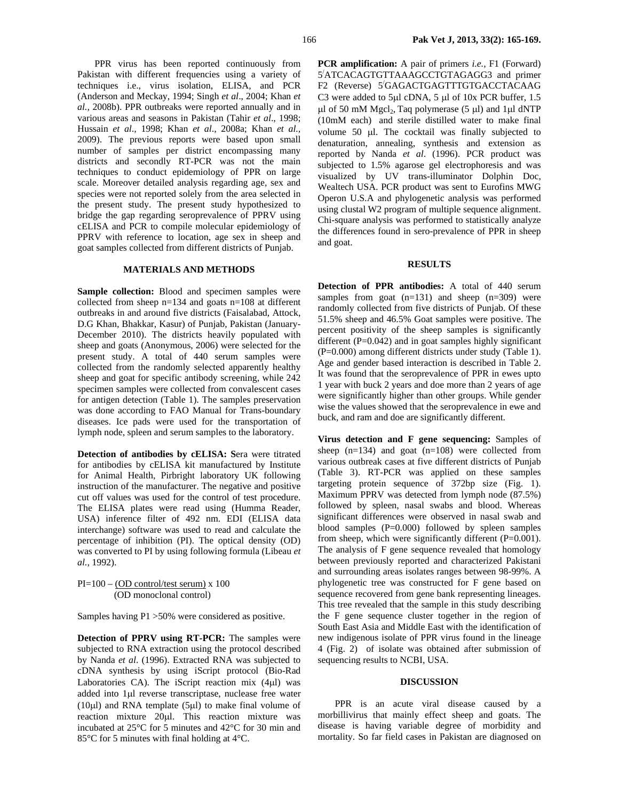PPR virus has been reported continuously from Pakistan with different frequencies using a variety of techniques i.e., virus isolation, ELISA, and PCR (Anderson and Meckay, 1994; Singh *et al*., 2004; Khan *et al.,* 2008b). PPR outbreaks were reported annually and in various areas and seasons in Pakistan (Tahir *et al*., 1998; Hussain *et al*., 1998; Khan *et al*., 2008a; Khan *et al.,* 2009). The previous reports were based upon small number of samples per district encompassing many districts and secondly RT-PCR was not the main techniques to conduct epidemiology of PPR on large scale. Moreover detailed analysis regarding age, sex and species were not reported solely from the area selected in the present study. The present study hypothesized to bridge the gap regarding seroprevalence of PPRV using cELISA and PCR to compile molecular epidemiology of PPRV with reference to location, age sex in sheep and goat samples collected from different districts of Punjab.

## **MATERIALS AND METHODS**

Sample collection: Blood and specimen samples were collected from sheep n=134 and goats n=108 at different outbreaks in and around five districts (Faisalabad, Attock, D.G Khan, Bhakkar, Kasur) of Punjab, Pakistan (January-December 2010). The districts heavily populated with sheep and goats (Anonymous, 2006) were selected for the present study. A total of 440 serum samples were collected from the randomly selected apparently healthy sheep and goat for specific antibody screening, while 242 specimen samples were collected from convalescent cases for antigen detection (Table 1). The samples preservation was done according to FAO Manual for Trans-boundary diseases. Ice pads were used for the transportation of lymph node, spleen and serum samples to the laboratory.

**Detection of antibodies by cELISA: S**era were titrated for antibodies by cELISA kit manufactured by Institute for Animal Health, Pirbright laboratory UK following instruction of the manufacturer. The negative and positive cut off values was used for the control of test procedure. The ELISA plates were read using (Humma Reader, USA) inference filter of 492 nm. EDI (ELISA data interchange) software was used to read and calculate the percentage of inhibition (PI). The optical density (OD) was converted to PI by using following formula (Libeau *et al.,* 1992).

# PI=100 – (OD control/test serum) x 100 (OD monoclonal control)

Samples having P1 >50% were considered as positive.

**Detection of PPRV using RT-PCR:** The samples were subjected to RNA extraction using the protocol described by Nanda *et al*. (1996). Extracted RNA was subjected to cDNA synthesis by using iScript protocol (Bio-Rad Laboratories CA). The iScript reaction mix (4µl) was added into 1µl reverse transcriptase, nuclease free water (10 $\mu$ l) and RNA template (5 $\mu$ l) to make final volume of reaction mixture 20µl. This reaction mixture was incubated at 25°C for 5 minutes and 42°C for 30 min and 85°C for 5 minutes with final holding at 4°C.

**PCR amplification:** A pair of primers *i.e.*, F1 (Forward) 5/ ATCACAGTGTTAAAGCCTGTAGAGG3 and primer F2 (Reverse) 5/ GAGACTGAGTTTGTGACCTACAAG C3 were added to 5µl cDNA, 5 µl of 10x PCR buffer, 1.5  $\mu$ l of 50 mM Mgcl<sub>2</sub>, Taq polymerase (5  $\mu$ l) and 1 $\mu$ l dNTP (10mM each) and sterile distilled water to make final volume 50 µl. The cocktail was finally subjected to denaturation, annealing, synthesis and extension as reported by Nanda *et al*. (1996). PCR product was subjected to 1.5% agarose gel electrophoresis and was visualized by UV trans-illuminator Dolphin Doc, Wealtech USA. PCR product was sent to Eurofins MWG Operon U.S.A and phylogenetic analysis was performed using clustal W2 program of multiple sequence alignment. Chi-square analysis was performed to statistically analyze the differences found in sero-prevalence of PPR in sheep and goat.

### **RESULTS**

**Detection of PPR antibodies:** A total of 440 serum samples from goat  $(n=131)$  and sheep  $(n=309)$  were randomly collected from five districts of Punjab. Of these 51.5% sheep and 46.5% Goat samples were positive. The percent positivity of the sheep samples is significantly different  $(P=0.042)$  and in goat samples highly significant (P=0.000) among different districts under study (Table 1). Age and gender based interaction is described in Table 2. It was found that the seroprevalence of PPR in ewes upto 1 year with buck 2 years and doe more than 2 years of age were significantly higher than other groups. While gender wise the values showed that the seroprevalence in ewe and buck, and ram and doe are significantly different.

**Virus detection and F gene sequencing:** Samples of sheep  $(n=134)$  and goat  $(n=108)$  were collected from various outbreak cases at five different districts of Punjab (Table 3). RT-PCR was applied on these samples targeting protein sequence of 372bp size (Fig. 1). Maximum PPRV was detected from lymph node (87.5%) followed by spleen, nasal swabs and blood. Whereas significant differences were observed in nasal swab and blood samples  $(P=0.000)$  followed by spleen samples from sheep, which were significantly different (P=0.001). The analysis of F gene sequence revealed that homology between previously reported and characterized Pakistani and surrounding areas isolates ranges between 98-99%. A phylogenetic tree was constructed for F gene based on sequence recovered from gene bank representing lineages. This tree revealed that the sample in this study describing the F gene sequence cluster together in the region of South East Asia and Middle East with the identification of new indigenous isolate of PPR virus found in the lineage 4 (Fig. 2)of isolate was obtained after submission of sequencing results to NCBI, USA.

### **DISCUSSION**

PPR is an acute viral disease caused by a morbillivirus that mainly effect sheep and goats. The disease is having variable degree of morbidity and mortality. So far field cases in Pakistan are diagnosed on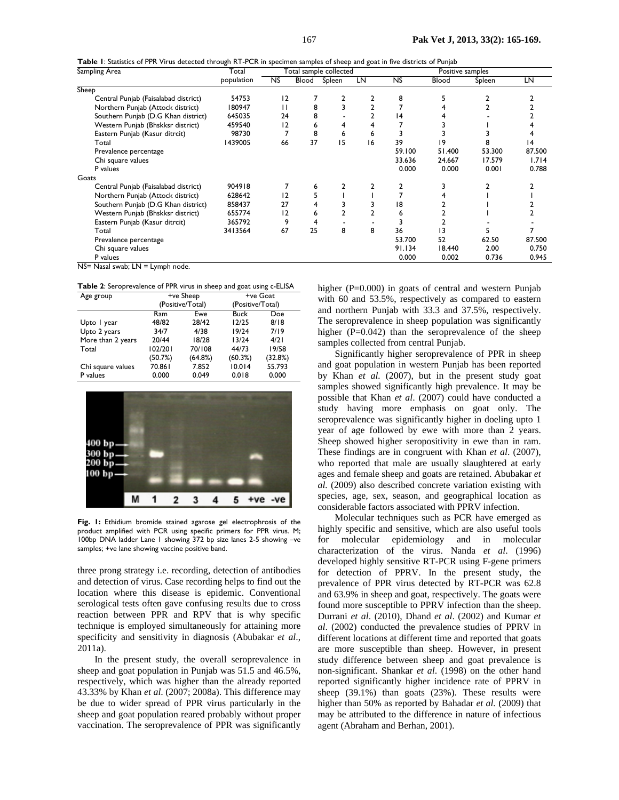**Table 1**: Statistics of PPR Virus detected through RT-PCR in specimen samples of sheep and goat in five districts of Punjab

| Sampling Area                        | Total      | Total sample collected |       |        |    | Positive samples |        |        |        |
|--------------------------------------|------------|------------------------|-------|--------|----|------------------|--------|--------|--------|
|                                      | population | NS.                    | Blood | Spleen | LN | <b>NS</b>        | Blood  | Spleen | LN     |
| Sheep                                |            |                        |       |        |    |                  |        |        |        |
| Central Punjab (Faisalabad district) | 54753      | $\overline{2}$         |       |        |    | 8                |        |        |        |
| Northern Punjab (Attock district)    | 180947     | п                      | 8     |        |    |                  |        |        |        |
| Southern Punjab (D.G Khan district)  | 645035     | 24                     | 8     |        |    | 4                |        |        |        |
| Western Punjab (Bhskksr district)    | 459540     | 12                     | 6     |        | 4  |                  |        |        |        |
| Eastern Punjab (Kasur ditrcit)       | 98730      |                        | 8     | 6      | 6  |                  |        |        |        |
| Total                                | 1439005    | 66                     | 37    | 15     | 16 | 39               | 19     | 8      | 14     |
| Prevalence percentage                |            |                        |       |        |    | 59.100           | 51.400 | 53.300 | 87.500 |
| Chi square values                    |            |                        |       |        |    | 33.636           | 24.667 | 17.579 | 1.714  |
| P values                             |            |                        |       |        |    | 0.000            | 0.000  | 0.001  | 0.788  |
| Goats                                |            |                        |       |        |    |                  |        |        |        |
| Central Punjab (Faisalabad district) | 904918     |                        | 6     |        |    |                  |        |        |        |
| Northern Punjab (Attock district)    | 628642     | 12                     |       |        |    |                  |        |        |        |
| Southern Punjab (D.G Khan district)  | 858437     | 27                     |       |        |    | 18               |        |        |        |
| Western Punjab (Bhskksr district)    | 655774     | 12                     |       |        |    | 6                |        |        |        |
| Eastern Punjab (Kasur ditrcit)       | 365792     | 9                      |       |        |    |                  |        |        |        |
| Total                                | 3413564    | 67                     | 25    | 8      | 8  | 36               | 13     |        |        |
| Prevalence percentage                |            |                        |       |        |    | 53.700           | 52     | 62.50  | 87.500 |
| Chi square values                    |            |                        |       |        |    | 91.134           | 18.440 | 2.00   | 0.750  |
| P values                             |            |                        |       |        |    | 0.000            | 0.002  | 0.736  | 0.945  |
| NS= Nasal swab: LN = Lymph node.     |            |                        |       |        |    |                  |        |        |        |

**Table 2**: Seroprevalence of PPR virus in sheep and goat using c-ELISA

| Age group         |         | +ve Sheep        | +ve Goat         |            |  |  |
|-------------------|---------|------------------|------------------|------------|--|--|
|                   |         | (Positive/Total) | (Positive/Total) |            |  |  |
|                   | Ram     | Ewe              | <b>Buck</b>      | <b>Doe</b> |  |  |
| Upto I year       | 48/82   | 28/42            | 12/25            | 8/18       |  |  |
| Upto 2 years      | 34/7    | 4/38             | 19/24            | 7/19       |  |  |
| More than 2 years | 20/44   | 18/28            | 13/24            | 4/21       |  |  |
| Total             | 102/201 | 70/108           | 44/73            | 19/58      |  |  |
|                   | (50.7%) | (64.8%)          | (60.3%)          | (32.8%)    |  |  |
| Chi square values | 70.861  | 7.852            | 10.014           | 55.793     |  |  |
| P values          | 0.000   | 0.049            | 0.018            | 0.000      |  |  |



**Fig. 1:** Ethidium bromide stained agarose gel electrophrosis of the product amplified with PCR using specific primers for PPR virus. M; 100bp DNA ladder Lane 1 showing 372 bp size lanes 2-5 showing –ve samples; +ve lane showing vaccine positive band.

three prong strategy i.e. recording, detection of antibodies and detection of virus. Case recording helps to find out the location where this disease is epidemic. Conventional serological tests often gave confusing results due to cross reaction between PPR and RPV that is why specific technique is employed simultaneously for attaining more specificity and sensitivity in diagnosis (Abubakar *et al*., 2011a).

In the present study, the overall seroprevalence in sheep and goat population in Punjab was 51.5 and 46.5%, respectively, which was higher than the already reported 43.33% by Khan *et al*. (2007; 2008a). This difference may be due to wider spread of PPR virus particularly in the sheep and goat population reared probably without proper vaccination. The seroprevalence of PPR was significantly

higher (P=0.000) in goats of central and western Punjab with 60 and 53.5%, respectively as compared to eastern and northern Punjab with 33.3 and 37.5%, respectively. The seroprevalence in sheep population was significantly higher  $(P=0.042)$  than the seroprevalence of the sheep samples collected from central Punjab.

Significantly higher seroprevalence of PPR in sheep and goat population in western Punjab has been reported by Khan *et al.* (2007), but in the present study goat samples showed significantly high prevalence. It may be possible that Khan *et al*. (2007) could have conducted a study having more emphasis on goat only. The seroprevalence was significantly higher in doeling upto 1 year of age followed by ewe with more than 2 years. Sheep showed higher seropositivity in ewe than in ram. These findings are in congruent with Khan *et al*. (2007), who reported that male are usually slaughtered at early ages and female sheep and goats are retained. Abubakar *et al.* (2009) also described concrete variation existing with species, age, sex, season, and geographical location as considerable factors associated with PPRV infection.

Molecular techniques such as PCR have emerged as highly specific and sensitive, which are also useful tools for molecular epidemiology and in molecular characterization of the virus. Nanda *et al*. (1996) developed highly sensitive RT-PCR using F-gene primers for detection of PPRV. In the present study, the prevalence of PPR virus detected by RT-PCR was 62.8 and 63.9% in sheep and goat, respectively. The goats were found more susceptible to PPRV infection than the sheep. Durrani *et al*. (2010), Dhand *et al*. (2002) and Kumar *et al*. (2002) conducted the prevalence studies of PPRV in different locations at different time and reported that goats are more susceptible than sheep. However, in present study difference between sheep and goat prevalence is non-significant. Shankar *et al*. (1998) on the other hand reported significantly higher incidence rate of PPRV in sheep (39.1%) than goats (23%). These results were higher than 50% as reported by Bahadar *et al.* (2009) that may be attributed to the difference in nature of infectious agent (Abraham and Berhan, 2001).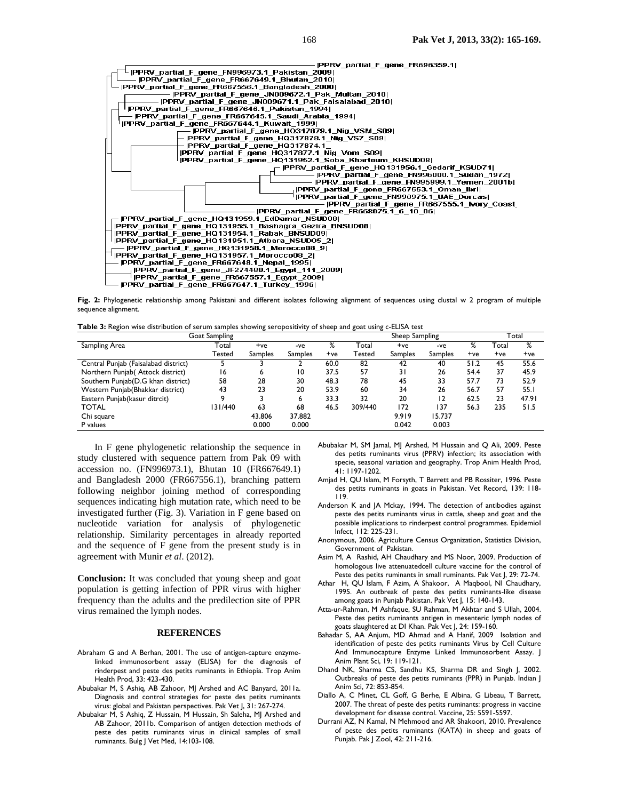

Fig. 2: Phylogenetic relationship among Pakistani and different isolates following alignment of sequences using clustal w 2 program of multiple sequence alignment.

**Table 3:** Region wise distribution of serum samples showing seropositivity of sheep and goat using c-ELISA test

| Goat Sampling                        |         |         |                | Sheep Sampling |         |                |                | Total |       |       |
|--------------------------------------|---------|---------|----------------|----------------|---------|----------------|----------------|-------|-------|-------|
| Sampling Area                        | Total   | +ve     | -ve            | ℅              | Total   | +ve            | -ve            | ℅     | Total | %     |
|                                      | Tested  | Samples | <b>Samples</b> | +ve            | Tested  | <b>Samples</b> | <b>Samples</b> | $+ve$ | $+ve$ | $+ve$ |
| Central Punjab (Faisalabad district) |         |         |                | 60.0           | 82      | 42             | 40             | 51.2  | 45    | 55.6  |
| Northern Punjab(Attock district)     | 16      | ь       | 10             | 37.5           | 57      | 31             | 26             | 54.4  | 37    | 45.9  |
| Southern Punjab(D.G khan district)   | 58      | 28      | 30             | 48.3           | 78      | 45             | 33             | 57.7  | 73    | 52.9  |
| Western Punjab (Bhakkar district)    | 43      | 23      | 20             | 53.9           | 60      | 34             | 26             | 56.7  | 57    | 55.1  |
| Eastern Punjab (kasur ditrcit)       |         |         | 6              | 33.3           | 32      | 20             | 12             | 62.5  | 23    | 47.91 |
| <b>TOTAL</b>                         | 131/440 | 63      | 68             | 46.5           | 309/440 | 172            | 137            | 56.3  | 235   | 51.5  |
| Chi square                           |         | 43.806  | 37.882         |                |         | 9.919          | 15.737         |       |       |       |
| P values                             |         | 0.000   | 0.000          |                |         | 0.042          | 0.003          |       |       |       |

In F gene phylogenetic relationship the sequence in study clustered with sequence pattern from Pak 09 with accession no. (FN996973.1), Bhutan 10 (FR667649.1) and Bangladesh 2000 (FR667556.1), branching pattern following neighbor joining method of corresponding sequences indicating high mutation rate, which need to be investigated further (Fig. 3). Variation in F gene based on nucleotide variation for analysis of phylogenetic relationship. Similarity percentages in already reported and the sequence of F gene from the present study is in agreement with Munir *et al*. (2012).

**Conclusion:** It was concluded that young sheep and goat population is getting infection of PPR virus with higher frequency than the adults and the predilection site of PPR virus remained the lymph nodes.

### **REFERENCES**

- Abraham G and A Berhan, 2001. The use of antigen-capture enzymelinked immunosorbent assay (ELISA) for the diagnosis of rinderpest and peste des petits ruminants in Ethiopia. Trop Anim Health Prod, 33: 423-430.
- Abubakar M, S Ashiq, AB Zahoor, MJ Arshed and AC Banyard, 2011a. Diagnosis and control strategies for peste des petits ruminants virus: global and Pakistan perspectives. Pak Vet J, 31: 267-274.
- Abubakar M, S Ashiq, Z Hussain, M Hussain, Sh Saleha, MJ Arshed and AB Zahoor, 2011b. Comparison of antigen detection methods of peste des petits ruminants virus in clinical samples of small ruminants. Bulg J Vet Med, 14:103-108.
- Abubakar M, SM Jamal, MJ Arshed, M Hussain and Q Ali, 2009. Peste des petits ruminants virus (PPRV) infection; its association with specie, seasonal variation and geography. Trop Anim Health Prod, 41: 1197-1202.
- Amjad H, QU Islam, M Forsyth, T Barrett and PB Rossiter, 1996. Peste des petits ruminants in goats in Pakistan. Vet Record, 139: 118- 119.
- Anderson K and JA Mckay, 1994. The detection of antibodies against peste des petits ruminants virus in cattle, sheep and goat and the possible implications to rinderpest control programmes. Epidemiol Infect, 112: 225-231.
- Anonymous, 2006. Agriculture Census Organization, Statistics Division, Government of Pakistan.
- Asim M, A Rashid, AH Chaudhary and MS Noor, 2009. Production of homologous live attenuatedcell culture vaccine for the control of Peste des petits ruminants in small ruminants. Pak Vet I, 29: 72-74.
- Athar H, QU Islam, F Azim, A Shakoor, A Maqbool, NI Chaudhary, 1995. An outbreak of peste des petits ruminants-like disease among goats in Punjab Pakistan. Pak Vet J, 15: 140-143.
- Atta-ur-Rahman, M Ashfaque, SU Rahman, M Akhtar and S Ullah, 2004. Peste des petits ruminants antigen in mesenteric lymph nodes of goats slaughtered at DI Khan. Pak Vet J, 24: 159-160.
- Bahadar S, AA Anjum, MD Ahmad and A Hanif, 2009 Isolation and identification of peste des petits ruminants Virus by Cell Culture And Immunocapture Enzyme Linked Immunosorbent Assay. J Anim Plant Sci, 19: 119-121.
- Dhand NK, Sharma CS, Sandhu KS, Sharma DR and Singh J, 2002. Outbreaks of peste des petits ruminants (PPR) in Punjab. Indian J Anim Sci, 72: 853-854.
- Diallo A, C Minet, CL Goff, G Berhe, E Albina, G Libeau, T Barrett, 2007. The threat of peste des petits ruminants: progress in vaccine development for disease control. Vaccine, 25: 5591-5597.
- Durrani AZ, N Kamal, N Mehmood and AR Shakoori, 2010. Prevalence of peste des petits ruminants (KATA) in sheep and goats of Punjab. Pak J Zool, 42: 211-216.